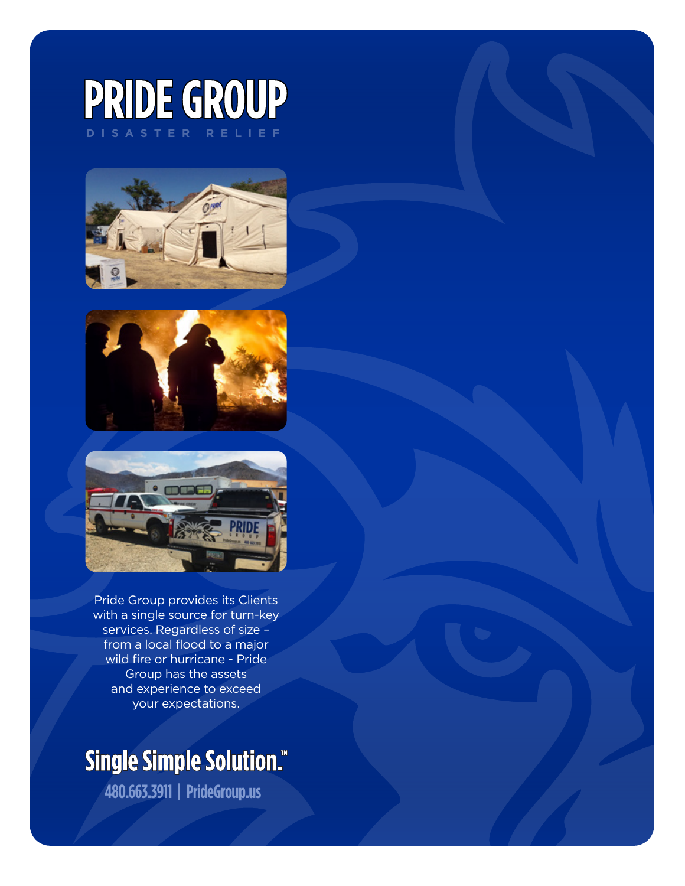# PRIDE GROUP







Pride Group provides its Clients with a single source for turn-key services. Regardless of size – from a local flood to a major wild fire or hurricane - Pride Group has the assets and experience to exceed your expectations.

# **Single Simple Solution."**

**480.663.3911 | PrideGroup.us**